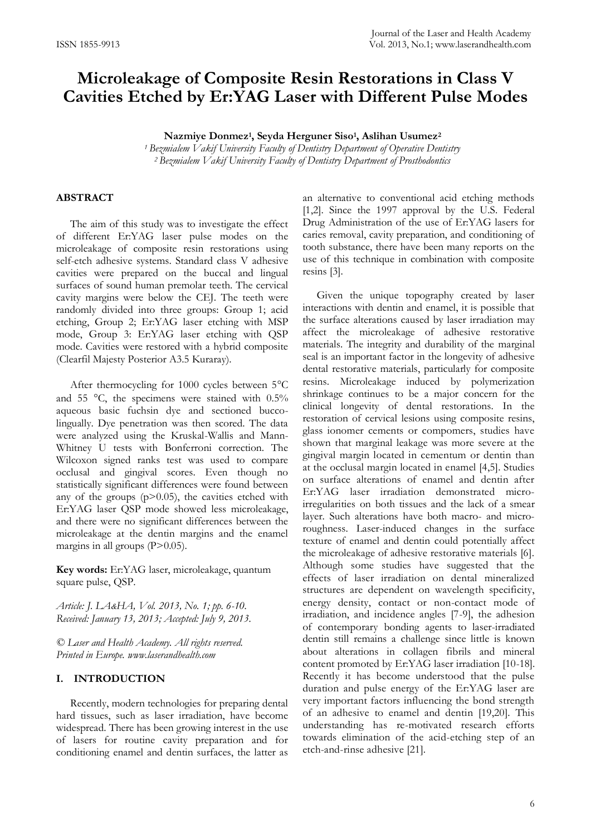# **Microleakage of Composite Resin Restorations in Class V Cavities Etched by Er:YAG Laser with Different Pulse Modes**

**Nazmiye Donmez<sup>1</sup> , Seyda Herguner Siso<sup>1</sup> , Aslihan Usumez<sup>2</sup>**

*<sup>1</sup> Bezmialem Vakif University Faculty of Dentistry Department of Operative Dentistry <sup>2</sup> Bezmialem Vakif University Faculty of Dentistry Department of Prosthodontics*

## **ABSTRACT**

The aim of this study was to investigate the effect of different Er:YAG laser pulse modes on the microleakage of composite resin restorations using self-etch adhesive systems. Standard class V adhesive cavities were prepared on the buccal and lingual surfaces of sound human premolar teeth. The cervical cavity margins were below the CEJ. The teeth were randomly divided into three groups: Group 1; acid etching, Group 2; Er:YAG laser etching with MSP mode, Group 3: Er:YAG laser etching with QSP mode. Cavities were restored with a hybrid composite (Clearfil Majesty Posterior A3.5 Kuraray).

After thermocycling for 1000 cycles between 5°C and 55  $\degree$ C, the specimens were stained with 0.5% aqueous basic fuchsin dye and sectioned buccolingually. Dye penetration was then scored. The data were analyzed using the Kruskal-Wallis and Mann-Whitney U tests with Bonferroni correction. The Wilcoxon signed ranks test was used to compare occlusal and gingival scores. Even though no statistically significant differences were found between any of the groups  $(p>0.05)$ , the cavities etched with Er:YAG laser QSP mode showed less microleakage, and there were no significant differences between the microleakage at the dentin margins and the enamel margins in all groups (P>0.05).

**Key words:** Er:YAG laser, microleakage, quantum square pulse, QSP.

*Article: J. LA&HA, Vol. 2013, No. 1; pp. 6-10. Received: January 13, 2013; Accepted: July 9, 2013.*

*© Laser and Health Academy. All rights reserved. Printed in Europe. www.laserandhealth.com*

### **I. INTRODUCTION**

Recently, modern technologies for preparing dental hard tissues, such as laser irradiation, have become widespread. There has been growing interest in the use of lasers for routine cavity preparation and for conditioning enamel and dentin surfaces, the latter as an alternative to conventional acid etching methods [1,2]. Since the 1997 approval by the U.S. Federal Drug Administration of the use of Er:YAG lasers for caries removal, cavity preparation, and conditioning of tooth substance, there have been many reports on the use of this technique in combination with composite resins [3].

Given the unique topography created by laser interactions with dentin and enamel, it is possible that the surface alterations caused by laser irradiation may affect the microleakage of adhesive restorative materials. The integrity and durability of the marginal seal is an important factor in the longevity of adhesive dental restorative materials, particularly for composite resins. Microleakage induced by polymerization shrinkage continues to be a major concern for the clinical longevity of dental restorations. In the restoration of cervical lesions using composite resins, glass ionomer cements or compomers, studies have shown that marginal leakage was more severe at the gingival margin located in cementum or dentin than at the occlusal margin located in enamel [4,5]. Studies on surface alterations of enamel and dentin after Er:YAG laser irradiation demonstrated microirregularities on both tissues and the lack of a smear layer. Such alterations have both macro- and microroughness. Laser-induced changes in the surface texture of enamel and dentin could potentially affect the microleakage of adhesive restorative materials [6]. Although some studies have suggested that the effects of laser irradiation on dental mineralized structures are dependent on wavelength specificity, energy density, contact or non-contact mode of irradiation, and incidence angles [7-9], the adhesion of contemporary bonding agents to laser-irradiated dentin still remains a challenge since little is known about alterations in collagen fibrils and mineral content promoted by Er:YAG laser irradiation [10-18]. Recently it has become understood that the pulse duration and pulse energy of the Er:YAG laser are very important factors influencing the bond strength of an adhesive to enamel and dentin [19,20]. This understanding has re-motivated research efforts towards elimination of the acid-etching step of an etch-and-rinse adhesive [21].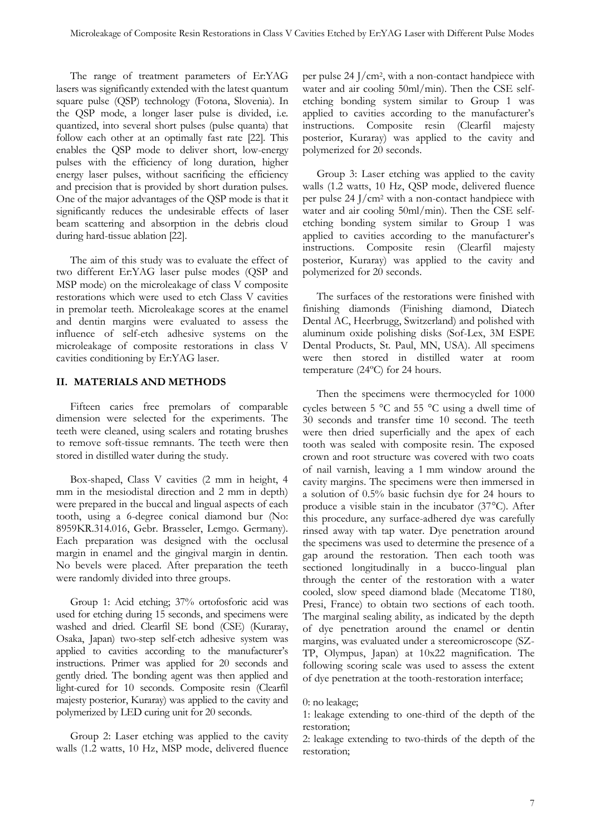The range of treatment parameters of Er:YAG lasers was significantly extended with the latest quantum square pulse (QSP) technology (Fotona, Slovenia). In the QSP mode, a longer laser pulse is divided, i.e. quantized, into several short pulses (pulse quanta) that follow each other at an optimally fast rate [22]. This enables the QSP mode to deliver short, low-energy pulses with the efficiency of long duration, higher energy laser pulses, without sacrificing the efficiency and precision that is provided by short duration pulses. One of the major advantages of the QSP mode is that it significantly reduces the undesirable effects of laser beam scattering and absorption in the debris cloud during hard-tissue ablation [22].

The aim of this study was to evaluate the effect of two different Er:YAG laser pulse modes (QSP and MSP mode) on the microleakage of class V composite restorations which were used to etch Class V cavities in premolar teeth. Microleakage scores at the enamel and dentin margins were evaluated to assess the influence of self-etch adhesive systems on the microleakage of composite restorations in class V cavities conditioning by Er:YAG laser.

## **II. MATERIALS AND METHODS**

Fifteen caries free premolars of comparable dimension were selected for the experiments. The teeth were cleaned, using scalers and rotating brushes to remove soft-tissue remnants. The teeth were then stored in distilled water during the study.

Box-shaped, Class V cavities (2 mm in height, 4 mm in the mesiodistal direction and 2 mm in depth) were prepared in the buccal and lingual aspects of each tooth, using a 6-degree conical diamond bur (No: 8959KR.314.016, Gebr. Brasseler, Lemgo. Germany). Each preparation was designed with the occlusal margin in enamel and the gingival margin in dentin. No bevels were placed. After preparation the teeth were randomly divided into three groups.

Group 1: Acid etching; 37% ortofosforic acid was used for etching during 15 seconds, and specimens were washed and dried. Clearfil SE bond (CSE) (Kuraray, Osaka, Japan) two-step self-etch adhesive system was applied to cavities according to the manufacturer's instructions. Primer was applied for 20 seconds and gently dried. The bonding agent was then applied and light-cured for 10 seconds. Composite resin (Clearfil majesty posterior, Kuraray) was applied to the cavity and polymerized by LED curing unit for 20 seconds.

Group 2: Laser etching was applied to the cavity walls (1.2 watts, 10 Hz, MSP mode, delivered fluence

per pulse 24 J/cm2, with a non-contact handpiece with water and air cooling 50ml/min). Then the CSE selfetching bonding system similar to Group 1 was applied to cavities according to the manufacturer's instructions. Composite resin (Clearfil majesty posterior, Kuraray) was applied to the cavity and polymerized for 20 seconds.

Group 3: Laser etching was applied to the cavity walls (1.2 watts, 10 Hz, QSP mode, delivered fluence per pulse 24 J/cm<sup>2</sup> with a non-contact handpiece with water and air cooling 50ml/min). Then the CSE selfetching bonding system similar to Group 1 was applied to cavities according to the manufacturer's instructions. Composite resin (Clearfil majesty posterior, Kuraray) was applied to the cavity and polymerized for 20 seconds.

The surfaces of the restorations were finished with finishing diamonds (Finishing diamond, Diatech Dental AC, Heerbrugg, Switzerland) and polished with aluminum oxide polishing disks (Sof-Lex, 3M ESPE Dental Products, St. Paul, MN, USA). All specimens were then stored in distilled water at room temperature (24ºC) for 24 hours.

Then the specimens were thermocycled for 1000 cycles between  $5^{\circ}$ C and  $55^{\circ}$ C using a dwell time of 30 seconds and transfer time 10 second. The teeth were then dried superficially and the apex of each tooth was sealed with composite resin. The exposed crown and root structure was covered with two coats of nail varnish, leaving a 1 mm window around the cavity margins. The specimens were then immersed in a solution of 0.5% basic fuchsin dye for 24 hours to produce a visible stain in the incubator (37°C). After this procedure, any surface-adhered dye was carefully rinsed away with tap water. Dye penetration around the specimens was used to determine the presence of a gap around the restoration. Then each tooth was sectioned longitudinally in a bucco-lingual plan through the center of the restoration with a water cooled, slow speed diamond blade (Mecatome T180, Presi, France) to obtain two sections of each tooth. The marginal sealing ability, as indicated by the depth of dye penetration around the enamel or dentin margins, was evaluated under a stereomicroscope (SZ-TP, Olympus, Japan) at 10x22 magnification. The following scoring scale was used to assess the extent of dye penetration at the tooth-restoration interface;

0: no leakage;

1: leakage extending to one-third of the depth of the restoration;

2: leakage extending to two-thirds of the depth of the restoration;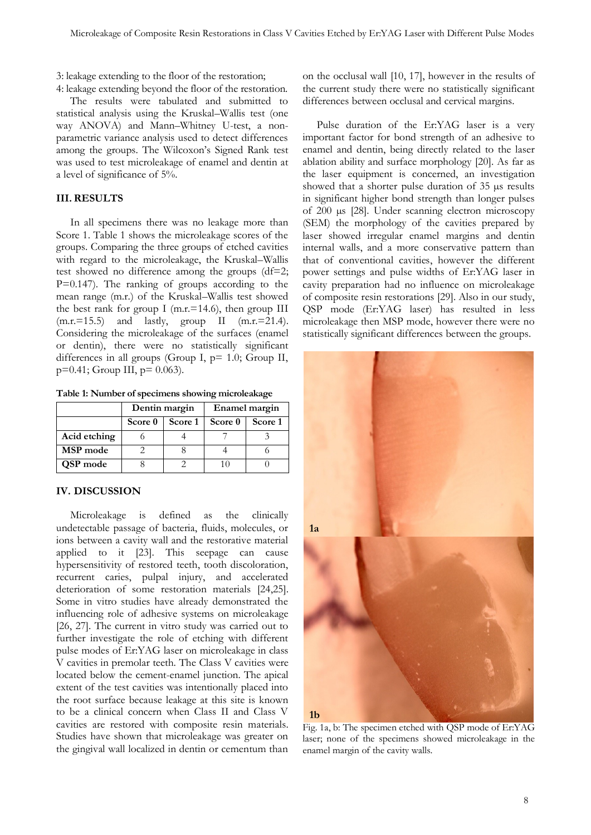3: leakage extending to the floor of the restoration;

4: leakage extending beyond the floor of the restoration. The results were tabulated and submitted to statistical analysis using the Kruskal–Wallis test (one way ANOVA) and Mann–Whitney U-test, a nonparametric variance analysis used to detect differences among the groups. The Wilcoxon's Signed Rank test was used to test microleakage of enamel and dentin at a level of significance of 5%.

## **III. RESULTS**

In all specimens there was no leakage more than Score 1. Table 1 shows the microleakage scores of the groups. Comparing the three groups of etched cavities with regard to the microleakage, the Kruskal–Wallis test showed no difference among the groups (df=2; P=0.147). The ranking of groups according to the mean range (m.r.) of the Kruskal–Wallis test showed the best rank for group I (m.r.=14.6), then group III  $(m.r.=15.5)$  and lastly, group II  $(m.r.=21.4)$ . Considering the microleakage of the surfaces (enamel or dentin), there were no statistically significant differences in all groups (Group I, p= 1.0; Group II,  $p=0.41$ ; Group III,  $p=0.063$ ).

**Table 1: Number of specimens showing microleakage**

|              | Dentin margin |         | Enamel margin |         |
|--------------|---------------|---------|---------------|---------|
|              | Score 0       | Score 1 | Score 0       | Score 1 |
| Acid etching |               |         |               |         |
| MSP mode     |               |         |               |         |
| QSP mode     |               |         |               |         |

#### **IV. DISCUSSION**

Microleakage is defined as the clinically undetectable passage of bacteria, fluids, molecules, or ions between a cavity wall and the restorative material applied to it [23]. This seepage can cause hypersensitivity of restored teeth, tooth discoloration, recurrent caries, pulpal injury, and accelerated deterioration of some restoration materials [24,25]. Some in vitro studies have already demonstrated the influencing role of adhesive systems on microleakage [26, 27]. The current in vitro study was carried out to further investigate the role of etching with different pulse modes of Er:YAG laser on microleakage in class V cavities in premolar teeth. The Class V cavities were located below the cement-enamel junction. The apical extent of the test cavities was intentionally placed into the root surface because leakage at this site is known to be a clinical concern when Class II and Class V cavities are restored with composite resin materials. Studies have shown that microleakage was greater on the gingival wall localized in dentin or cementum than

on the occlusal wall [10, 17], however in the results of the current study there were no statistically significant differences between occlusal and cervical margins.

Pulse duration of the Er:YAG laser is a very important factor for bond strength of an adhesive to enamel and dentin, being directly related to the laser ablation ability and surface morphology [20]. As far as the laser equipment is concerned, an investigation showed that a shorter pulse duration of 35 µs results in significant higher bond strength than longer pulses of 200 µs [28]. Under scanning electron microscopy (SEM) the morphology of the cavities prepared by laser showed irregular enamel margins and dentin internal walls, and a more conservative pattern than that of conventional cavities, however the different power settings and pulse widths of Er:YAG laser in cavity preparation had no influence on microleakage of composite resin restorations [29]. Also in our study, QSP mode (Er:YAG laser) has resulted in less microleakage then MSP mode, however there were no statistically significant differences between the groups.



Fig. 1a, b: The specimen etched with QSP mode of Er:YAG laser; none of the specimens showed microleakage in the enamel margin of the cavity walls.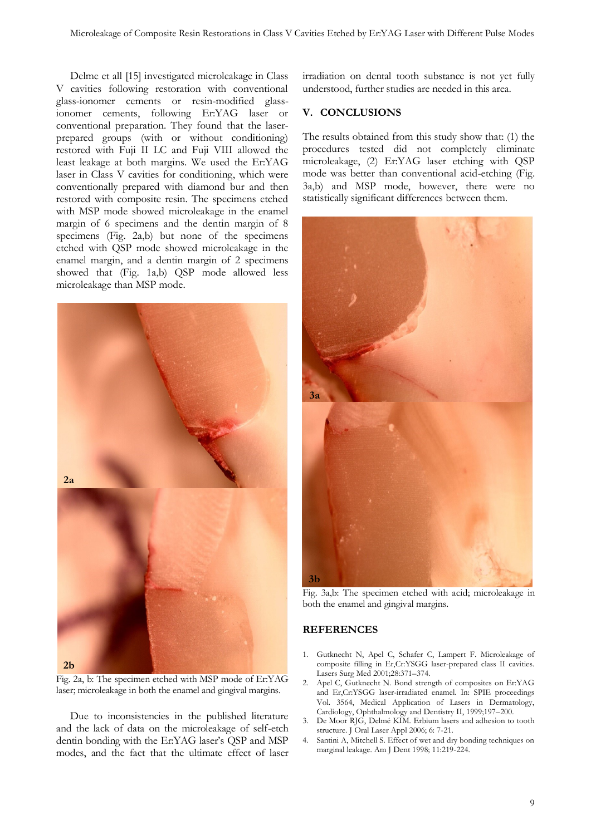Delme et all [15] investigated microleakage in Class V cavities following restoration with conventional glass-ionomer cements or resin-modified glassionomer cements, following Er:YAG laser or conventional preparation. They found that the laserprepared groups (with or without conditioning) restored with Fuji II LC and Fuji VIII allowed the least leakage at both margins. We used the Er:YAG laser in Class V cavities for conditioning, which were conventionally prepared with diamond bur and then restored with composite resin. The specimens etched with MSP mode showed microleakage in the enamel margin of 6 specimens and the dentin margin of 8 specimens (Fig. 2a,b) but none of the specimens etched with QSP mode showed microleakage in the enamel margin, and a dentin margin of 2 specimens showed that (Fig. 1a,b) QSP mode allowed less microleakage than MSP mode.



Fig. 2a, b: The specimen etched with MSP mode of Er:YAG laser; microleakage in both the enamel and gingival margins.

Due to inconsistencies in the published literature and the lack of data on the microleakage of self-etch dentin bonding with the Er:YAG laser's QSP and MSP modes, and the fact that the ultimate effect of laser irradiation on dental tooth substance is not yet fully understood, further studies are needed in this area.

#### **V. CONCLUSIONS**

The results obtained from this study show that: (1) the procedures tested did not completely eliminate microleakage, (2) Er:YAG laser etching with QSP mode was better than conventional acid-etching (Fig. 3a,b) and MSP mode, however, there were no statistically significant differences between them.



Fig. 3a,b: The specimen etched with acid; microleakage in both the enamel and gingival margins.

#### **REFERENCES**

- 1. Gutknecht N, Apel C, Schafer C, Lampert F. Microleakage of composite filling in Er,Cr:YSGG laser-prepared class II cavities. Lasers Surg Med 2001;28:371–374.
- 2. Apel C, Gutknecht N. Bond strength of composites on Er:YAG and Er,Cr:YSGG laser-irradiated enamel. In: SPIE proceedings Vol. 3564, Medical Application of Lasers in Dermatology, Cardiology, Ophthalmology and Dentistry II, 1999;197–200.
- 3. De Moor RJG, Delmé KIM. Erbium lasers and adhesion to tooth structure. J Oral Laser Appl 2006; 6: 7-21.
- 4. Santini A, Mitchell S. Effect of wet and dry bonding techniques on marginal leakage. Am J Dent 1998; 11:219-224.